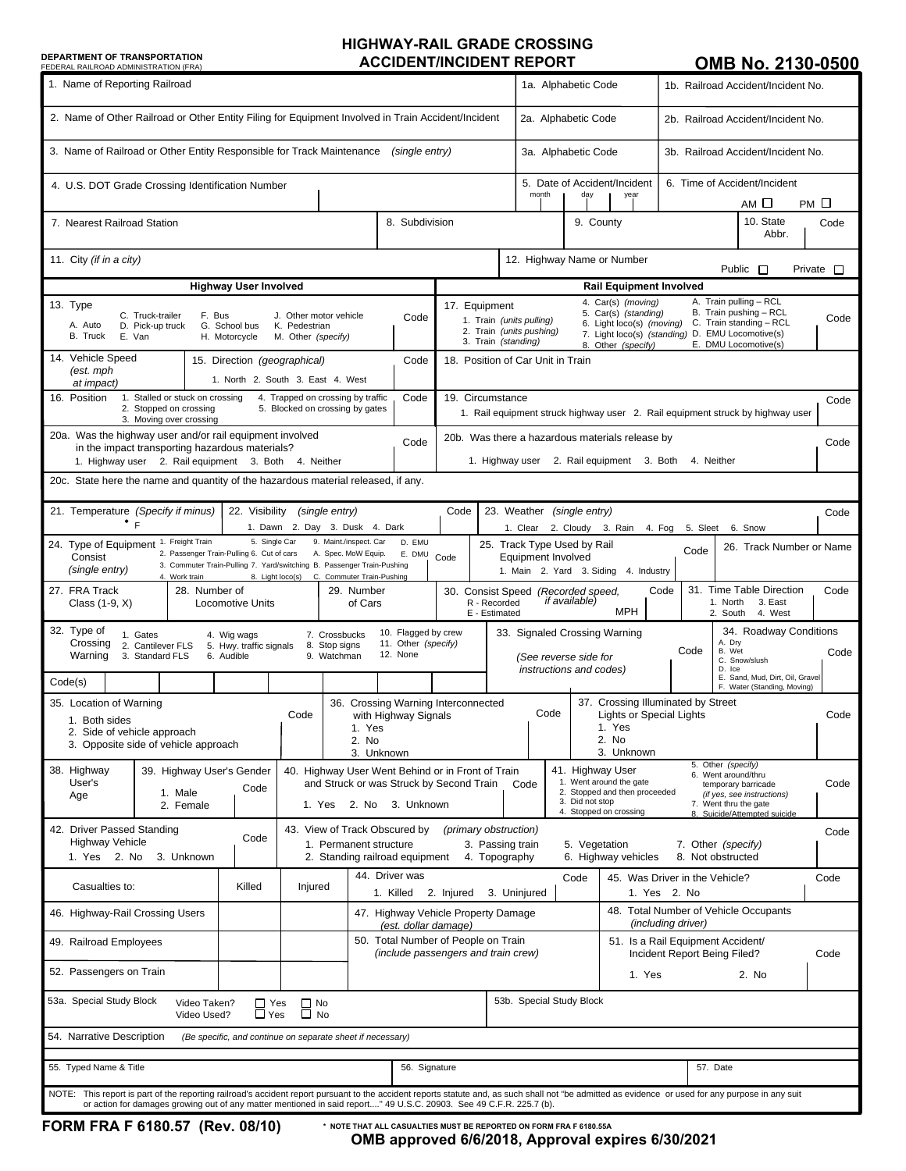## **HIGHWAY-RAIL GRADE CROSSING DEPARTMENT OF TRANSPORTATION<br>
FEDERAL RAILROAD ADMINISTRATION (FRA)**

## **OMB No. 2130-0500**

| FEDERAL RAILROAD ADMINISTRATION (FRA)                                                                                                                                                                                                                                                                                     |                                                                                                                                  |                                                                                  |                                                                            |                                                             |                                                                                                                                                                                                                                                                                                                                                                  |                                                                                                                                                                                                               |                                                                                                      |                                                             |                                                                                                                                                                                                                                                                           |                                    | טווום ווע. ב וטע-עטע               |              |  |
|---------------------------------------------------------------------------------------------------------------------------------------------------------------------------------------------------------------------------------------------------------------------------------------------------------------------------|----------------------------------------------------------------------------------------------------------------------------------|----------------------------------------------------------------------------------|----------------------------------------------------------------------------|-------------------------------------------------------------|------------------------------------------------------------------------------------------------------------------------------------------------------------------------------------------------------------------------------------------------------------------------------------------------------------------------------------------------------------------|---------------------------------------------------------------------------------------------------------------------------------------------------------------------------------------------------------------|------------------------------------------------------------------------------------------------------|-------------------------------------------------------------|---------------------------------------------------------------------------------------------------------------------------------------------------------------------------------------------------------------------------------------------------------------------------|------------------------------------|------------------------------------|--------------|--|
| 1. Name of Reporting Railroad                                                                                                                                                                                                                                                                                             |                                                                                                                                  |                                                                                  |                                                                            |                                                             |                                                                                                                                                                                                                                                                                                                                                                  |                                                                                                                                                                                                               |                                                                                                      | 1a. Alphabetic Code                                         |                                                                                                                                                                                                                                                                           |                                    | 1b. Railroad Accident/Incident No. |              |  |
| 2. Name of Other Railroad or Other Entity Filing for Equipment Involved in Train Accident/Incident                                                                                                                                                                                                                        |                                                                                                                                  |                                                                                  |                                                                            |                                                             |                                                                                                                                                                                                                                                                                                                                                                  |                                                                                                                                                                                                               |                                                                                                      | 2a. Alphabetic Code                                         |                                                                                                                                                                                                                                                                           |                                    | 2b. Railroad Accident/Incident No. |              |  |
| 3. Name of Railroad or Other Entity Responsible for Track Maintenance<br>(single entry)                                                                                                                                                                                                                                   |                                                                                                                                  |                                                                                  |                                                                            |                                                             |                                                                                                                                                                                                                                                                                                                                                                  |                                                                                                                                                                                                               | 3a. Alphabetic Code                                                                                  |                                                             |                                                                                                                                                                                                                                                                           | 3b. Railroad Accident/Incident No. |                                    |              |  |
| 4. U.S. DOT Grade Crossing Identification Number                                                                                                                                                                                                                                                                          |                                                                                                                                  |                                                                                  |                                                                            |                                                             |                                                                                                                                                                                                                                                                                                                                                                  |                                                                                                                                                                                                               | 5. Date of Accident/Incident<br>month<br>day<br>year                                                 |                                                             |                                                                                                                                                                                                                                                                           | 6. Time of Accident/Incident       |                                    |              |  |
| 8. Subdivision<br>7. Nearest Railroad Station                                                                                                                                                                                                                                                                             |                                                                                                                                  |                                                                                  |                                                                            |                                                             |                                                                                                                                                                                                                                                                                                                                                                  |                                                                                                                                                                                                               |                                                                                                      |                                                             | 9. County                                                                                                                                                                                                                                                                 |                                    | АМ 口<br>10. State                  | РМ □<br>Code |  |
|                                                                                                                                                                                                                                                                                                                           |                                                                                                                                  |                                                                                  |                                                                            |                                                             |                                                                                                                                                                                                                                                                                                                                                                  |                                                                                                                                                                                                               | Abbr.                                                                                                |                                                             |                                                                                                                                                                                                                                                                           |                                    |                                    |              |  |
| 11. City (if in a city)                                                                                                                                                                                                                                                                                                   |                                                                                                                                  |                                                                                  |                                                                            |                                                             |                                                                                                                                                                                                                                                                                                                                                                  |                                                                                                                                                                                                               | 12. Highway Name or Number<br>Public $\Box$<br>Private $\Box$                                        |                                                             |                                                                                                                                                                                                                                                                           |                                    |                                    |              |  |
| <b>Highway User Involved</b>                                                                                                                                                                                                                                                                                              |                                                                                                                                  |                                                                                  |                                                                            |                                                             |                                                                                                                                                                                                                                                                                                                                                                  | <b>Rail Equipment Involved</b>                                                                                                                                                                                |                                                                                                      |                                                             |                                                                                                                                                                                                                                                                           |                                    |                                    |              |  |
| 13. Type<br>C. Truck-trailer<br>F. Bus<br>J. Other motor vehicle<br>Code<br>A. Auto<br>G. School bus<br>D. Pick-up truck<br>K. Pedestrian<br>B. Truck<br>E. Van<br>H. Motorcycle<br>M. Other (specify)                                                                                                                    |                                                                                                                                  |                                                                                  |                                                                            |                                                             | A. Train pulling - RCL<br>4. Car(s) (moving)<br>17. Equipment<br>5. Car(s) (standing)<br>B. Train pushing - RCL<br>Code<br>1. Train (units pulling)<br>C. Train standing - RCL<br>6. Light loco(s) (moving)<br>2. Train (units pushing)<br>7. Light loco(s) (standing) D. EMU Locomotive(s)<br>3. Train (standing)<br>E. DMU Locomotive(s)<br>8. Other (specify) |                                                                                                                                                                                                               |                                                                                                      |                                                             |                                                                                                                                                                                                                                                                           |                                    |                                    |              |  |
| 14. Vehicle Speed<br>15. Direction (geographical)<br>Code<br>(est. mph<br>1. North 2. South 3. East 4. West<br>at impact)                                                                                                                                                                                                 |                                                                                                                                  |                                                                                  |                                                                            |                                                             | 18. Position of Car Unit in Train                                                                                                                                                                                                                                                                                                                                |                                                                                                                                                                                                               |                                                                                                      |                                                             |                                                                                                                                                                                                                                                                           |                                    |                                    |              |  |
| 1. Stalled or stuck on crossing<br>16. Position<br>Code<br>4. Trapped on crossing by traffic<br>2. Stopped on crossing<br>5. Blocked on crossing by gates<br>3. Moving over crossing                                                                                                                                      |                                                                                                                                  |                                                                                  |                                                                            |                                                             | 19. Circumstance<br>Code<br>1. Rail equipment struck highway user 2. Rail equipment struck by highway user                                                                                                                                                                                                                                                       |                                                                                                                                                                                                               |                                                                                                      |                                                             |                                                                                                                                                                                                                                                                           |                                    |                                    |              |  |
| 20a. Was the highway user and/or rail equipment involved<br>Code<br>in the impact transporting hazardous materials?                                                                                                                                                                                                       |                                                                                                                                  |                                                                                  |                                                                            |                                                             | 20b. Was there a hazardous materials release by<br>Code                                                                                                                                                                                                                                                                                                          |                                                                                                                                                                                                               |                                                                                                      |                                                             |                                                                                                                                                                                                                                                                           |                                    |                                    |              |  |
| 1. Highway user 2. Rail equipment 3. Both<br>20c. State here the name and quantity of the hazardous material released, if any.                                                                                                                                                                                            |                                                                                                                                  | 2. Rail equipment 3. Both<br>4. Neither<br>1. Highway user                       |                                                                            |                                                             |                                                                                                                                                                                                                                                                                                                                                                  |                                                                                                                                                                                                               |                                                                                                      |                                                             |                                                                                                                                                                                                                                                                           |                                    |                                    |              |  |
|                                                                                                                                                                                                                                                                                                                           |                                                                                                                                  |                                                                                  |                                                                            |                                                             |                                                                                                                                                                                                                                                                                                                                                                  |                                                                                                                                                                                                               |                                                                                                      |                                                             |                                                                                                                                                                                                                                                                           |                                    |                                    |              |  |
| 21. Temperature (Specify if minus)<br>22. Visibility<br>(single entry)<br>$^{\circ}$ F<br>1. Dawn 2. Day 3. Dusk 4. Dark                                                                                                                                                                                                  |                                                                                                                                  |                                                                                  |                                                                            |                                                             |                                                                                                                                                                                                                                                                                                                                                                  |                                                                                                                                                                                                               | 23. Weather (single entry)<br>Code<br>2. Cloudy 3. Rain<br>1. Clear<br>4. Fog<br>5. Sleet<br>6. Snow |                                                             |                                                                                                                                                                                                                                                                           |                                    |                                    |              |  |
| 5. Single Car<br>9. Maint./inspect. Car<br>24. Type of Equipment 1. Freight Train<br>D. EMU<br>2. Passenger Train-Pulling 6. Cut of cars<br>A. Spec. MoW Equip.<br>E. DMU<br>Consist<br>3. Commuter Train-Pulling 7. Yard/switching B. Passenger Train-Pushing<br>(single entry)                                          |                                                                                                                                  |                                                                                  |                                                                            |                                                             | 25. Track Type Used by Rail<br>26. Track Number or Name<br>Code<br>Code<br><b>Equipment Involved</b><br>1. Main 2. Yard 3. Siding 4. Industry                                                                                                                                                                                                                    |                                                                                                                                                                                                               |                                                                                                      |                                                             |                                                                                                                                                                                                                                                                           |                                    |                                    |              |  |
| 8. Light loco(s) C. Commuter Train-Pushing<br>4. Work train<br>27. FRA Track<br>28. Number of<br>29. Number<br>Class (1-9, X)<br><b>Locomotive Units</b><br>of Cars                                                                                                                                                       |                                                                                                                                  |                                                                                  |                                                                            |                                                             |                                                                                                                                                                                                                                                                                                                                                                  | 31. Time Table Direction<br>Code<br>Code<br>30. Consist Speed (Recorded speed,<br><i>if available)</i><br>R - Recorded<br>1. North<br>3. East<br><b>MPH</b><br>2. South<br>4. West<br>E - Estimated           |                                                                                                      |                                                             |                                                                                                                                                                                                                                                                           |                                    |                                    |              |  |
| 32. Type of<br>10. Flagged by crew<br>1. Gates<br>7. Crossbucks<br>4. Wig wags<br>Crossing<br>11. Other (specify)<br>2. Cantilever FLS<br>5. Hwy. traffic signals<br>8. Stop signs<br>12. None<br>Warning<br>3. Standard FLS<br>6. Audible<br>9. Watchman                                                                 |                                                                                                                                  |                                                                                  |                                                                            |                                                             |                                                                                                                                                                                                                                                                                                                                                                  | 34. Roadway Conditions<br>33. Signaled Crossing Warning<br>A. Dry<br>Code<br>B. Wet<br>Code<br>(See reverse side for<br>C. Snow/slush<br>instructions and codes)<br>D. Ice<br>E. Sand, Mud. Dirt. Oil. Gravel |                                                                                                      |                                                             |                                                                                                                                                                                                                                                                           |                                    |                                    |              |  |
| Code(s)                                                                                                                                                                                                                                                                                                                   |                                                                                                                                  |                                                                                  |                                                                            |                                                             |                                                                                                                                                                                                                                                                                                                                                                  |                                                                                                                                                                                                               |                                                                                                      |                                                             |                                                                                                                                                                                                                                                                           |                                    | F. Water (Standing, Moving)        |              |  |
| 35. Location of Warning<br>Code<br>1. Both sides<br>1. Yes<br>2. Side of vehicle approach<br>2. No<br>3. Opposite side of vehicle approach                                                                                                                                                                                |                                                                                                                                  |                                                                                  |                                                                            |                                                             | 36. Crossing Warning Interconnected<br>with Highway Signals                                                                                                                                                                                                                                                                                                      |                                                                                                                                                                                                               |                                                                                                      |                                                             | 37. Crossing Illuminated by Street<br>Code<br><b>Lights or Special Lights</b><br>Code<br>1. Yes<br>2. No                                                                                                                                                                  |                                    |                                    |              |  |
|                                                                                                                                                                                                                                                                                                                           |                                                                                                                                  |                                                                                  | 3. Unknown                                                                 |                                                             |                                                                                                                                                                                                                                                                                                                                                                  |                                                                                                                                                                                                               |                                                                                                      |                                                             | 3. Unknown                                                                                                                                                                                                                                                                |                                    |                                    |              |  |
| 38. Highway<br>39. Highway User's Gender<br>User's<br>1. Male<br>Age<br>2. Female                                                                                                                                                                                                                                         | 40. Highway User Went Behind or in Front of Train<br>and Struck or was Struck by Second Train<br>Code<br>1. Yes 2. No 3. Unknown |                                                                                  |                                                                            |                                                             |                                                                                                                                                                                                                                                                                                                                                                  |                                                                                                                                                                                                               | Code                                                                                                 | 3. Did not stop                                             | 5. Other (specify)<br>41. Highway User<br>6. Went around/thru<br>1. Went around the gate<br>Code<br>temporary barricade<br>2. Stopped and then proceeded<br>(if yes, see instructions)<br>7. Went thru the gate<br>4. Stopped on crossing<br>8. Suicide/Attempted suicide |                                    |                                    |              |  |
| 42. Driver Passed Standing<br><b>Highway Vehicle</b>                                                                                                                                                                                                                                                                      | 43. View of Track Obscured by<br>1. Permanent structure                                                                          | (primary obstruction)<br>3. Passing train<br>5. Vegetation<br>7. Other (specify) |                                                                            |                                                             |                                                                                                                                                                                                                                                                                                                                                                  |                                                                                                                                                                                                               |                                                                                                      |                                                             | Code                                                                                                                                                                                                                                                                      |                                    |                                    |              |  |
| 1. Yes 2. No<br>3. Unknown                                                                                                                                                                                                                                                                                                |                                                                                                                                  |                                                                                  | 2. Standing railroad equipment                                             |                                                             |                                                                                                                                                                                                                                                                                                                                                                  | 4. Topography                                                                                                                                                                                                 |                                                                                                      |                                                             | 6. Highway vehicles                                                                                                                                                                                                                                                       |                                    | 8. Not obstructed                  |              |  |
| Casualties to:<br>Killed<br>Injured                                                                                                                                                                                                                                                                                       |                                                                                                                                  |                                                                                  | 44. Driver was<br>1. Killed<br>2. Injured                                  |                                                             |                                                                                                                                                                                                                                                                                                                                                                  | 3. Uninjured                                                                                                                                                                                                  | Code                                                                                                 | 45. Was Driver in the Vehicle?<br>1. Yes 2. No              |                                                                                                                                                                                                                                                                           |                                    | Code                               |              |  |
| 46. Highway-Rail Crossing Users                                                                                                                                                                                                                                                                                           |                                                                                                                                  |                                                                                  |                                                                            | 47. Highway Vehicle Property Damage<br>(est. dollar damage) |                                                                                                                                                                                                                                                                                                                                                                  |                                                                                                                                                                                                               |                                                                                                      | 48. Total Number of Vehicle Occupants<br>(including driver) |                                                                                                                                                                                                                                                                           |                                    |                                    |              |  |
| 49. Railroad Employees                                                                                                                                                                                                                                                                                                    |                                                                                                                                  |                                                                                  | 50. Total Number of People on Train<br>(include passengers and train crew) |                                                             |                                                                                                                                                                                                                                                                                                                                                                  |                                                                                                                                                                                                               | 51. Is a Rail Equipment Accident/<br>Incident Report Being Filed?                                    |                                                             |                                                                                                                                                                                                                                                                           |                                    | Code                               |              |  |
| 52. Passengers on Train                                                                                                                                                                                                                                                                                                   |                                                                                                                                  |                                                                                  |                                                                            |                                                             |                                                                                                                                                                                                                                                                                                                                                                  | 1. Yes<br>2. No                                                                                                                                                                                               |                                                                                                      |                                                             |                                                                                                                                                                                                                                                                           |                                    |                                    |              |  |
| 53a. Special Study Block<br>Video Taken?<br>Video Used?                                                                                                                                                                                                                                                                   |                                                                                                                                  |                                                                                  |                                                                            | 53b. Special Study Block                                    |                                                                                                                                                                                                                                                                                                                                                                  |                                                                                                                                                                                                               |                                                                                                      |                                                             |                                                                                                                                                                                                                                                                           |                                    |                                    |              |  |
| 54. Narrative Description                                                                                                                                                                                                                                                                                                 |                                                                                                                                  |                                                                                  | (Be specific, and continue on separate sheet if necessary)                 |                                                             |                                                                                                                                                                                                                                                                                                                                                                  |                                                                                                                                                                                                               |                                                                                                      |                                                             |                                                                                                                                                                                                                                                                           |                                    |                                    |              |  |
| 55. Typed Name & Title<br>56. Signature                                                                                                                                                                                                                                                                                   |                                                                                                                                  |                                                                                  |                                                                            |                                                             |                                                                                                                                                                                                                                                                                                                                                                  | 57. Date                                                                                                                                                                                                      |                                                                                                      |                                                             |                                                                                                                                                                                                                                                                           |                                    |                                    |              |  |
| NOTE: This report is part of the reporting railroad's accident report pursuant to the accident reports statute and, as such shall not "be admitted as evidence or used for any purpose in any suit<br>or action for damages growing out of any matter mentioned in said report" 49 U.S.C. 20903. See 49 C.F.R. 225.7 (b). |                                                                                                                                  |                                                                                  |                                                                            |                                                             |                                                                                                                                                                                                                                                                                                                                                                  |                                                                                                                                                                                                               |                                                                                                      |                                                             |                                                                                                                                                                                                                                                                           |                                    |                                    |              |  |

**OMB approved 6/6/2018, Approval expires 6/30/2021 \* NOTE THAT ALL CASUALTIES MUST BE REPORTED ON FORM FRA F 6180.55A**